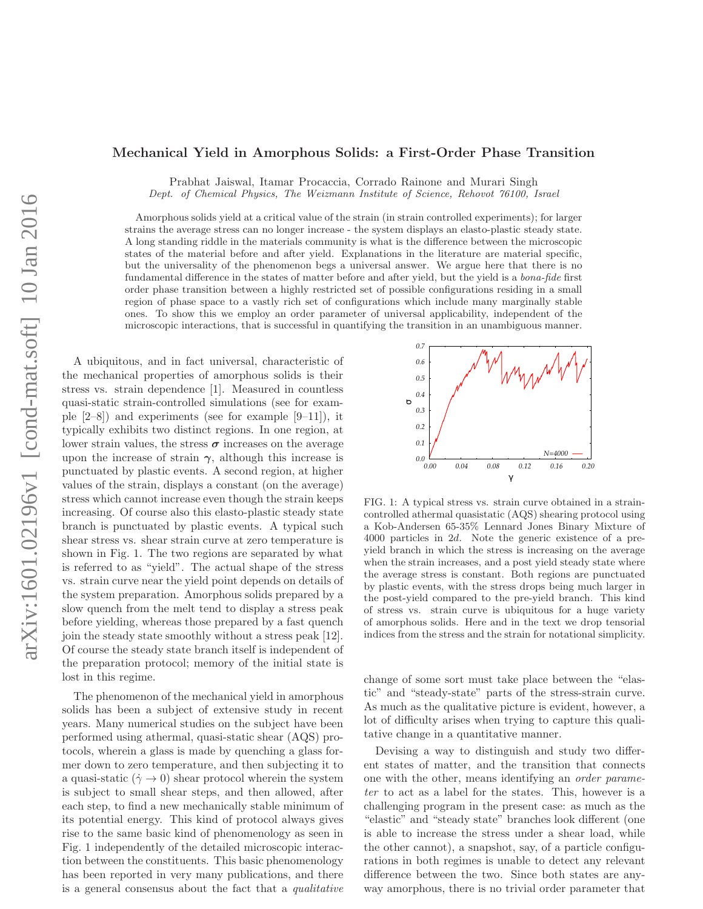## arXiv:1601.02196v1 [cond-mat.soft] 10 Jan 2016 arXiv:1601.02196v1 [cond-mat.soft] 10 Jan 2016

## Mechanical Yield in Amorphous Solids: a First-Order Phase Transition

Prabhat Jaiswal, Itamar Procaccia, Corrado Rainone and Murari Singh Dept. of Chemical Physics, The Weizmann Institute of Science, Rehovot 76100, Israel

Amorphous solids yield at a critical value of the strain (in strain controlled experiments); for larger strains the average stress can no longer increase - the system displays an elasto-plastic steady state. A long standing riddle in the materials community is what is the difference between the microscopic states of the material before and after yield. Explanations in the literature are material specific, but the universality of the phenomenon begs a universal answer. We argue here that there is no fundamental difference in the states of matter before and after yield, but the yield is a bona-fide first order phase transition between a highly restricted set of possible configurations residing in a small region of phase space to a vastly rich set of configurations which include many marginally stable ones. To show this we employ an order parameter of universal applicability, independent of the microscopic interactions, that is successful in quantifying the transition in an unambiguous manner.

A ubiquitous, and in fact universal, characteristic of the mechanical properties of amorphous solids is their stress vs. strain dependence [1]. Measured in countless quasi-static strain-controlled simulations (see for example [2–8]) and experiments (see for example [9–11]), it typically exhibits two distinct regions. In one region, at lower strain values, the stress  $\sigma$  increases on the average upon the increase of strain  $\gamma$ , although this increase is punctuated by plastic events. A second region, at higher values of the strain, displays a constant (on the average) stress which cannot increase even though the strain keeps increasing. Of course also this elasto-plastic steady state branch is punctuated by plastic events. A typical such shear stress vs. shear strain curve at zero temperature is shown in Fig. 1. The two regions are separated by what is referred to as "yield". The actual shape of the stress vs. strain curve near the yield point depends on details of the system preparation. Amorphous solids prepared by a slow quench from the melt tend to display a stress peak before yielding, whereas those prepared by a fast quench join the steady state smoothly without a stress peak [12]. Of course the steady state branch itself is independent of the preparation protocol; memory of the initial state is lost in this regime.

The phenomenon of the mechanical yield in amorphous solids has been a subject of extensive study in recent years. Many numerical studies on the subject have been performed using athermal, quasi-static shear (AQS) protocols, wherein a glass is made by quenching a glass former down to zero temperature, and then subjecting it to a quasi-static  $(\dot{\gamma} \rightarrow 0)$  shear protocol wherein the system is subject to small shear steps, and then allowed, after each step, to find a new mechanically stable minimum of its potential energy. This kind of protocol always gives rise to the same basic kind of phenomenology as seen in Fig. 1 independently of the detailed microscopic interaction between the constituents. This basic phenomenology has been reported in very many publications, and there is a general consensus about the fact that a qualitative



FIG. 1: A typical stress vs. strain curve obtained in a straincontrolled athermal quasistatic (AQS) shearing protocol using a Kob-Andersen 65-35% Lennard Jones Binary Mixture of 4000 particles in 2d. Note the generic existence of a preyield branch in which the stress is increasing on the average when the strain increases, and a post yield steady state where the average stress is constant. Both regions are punctuated by plastic events, with the stress drops being much larger in the post-yield compared to the pre-yield branch. This kind of stress vs. strain curve is ubiquitous for a huge variety of amorphous solids. Here and in the text we drop tensorial indices from the stress and the strain for notational simplicity.

change of some sort must take place between the "elastic" and "steady-state" parts of the stress-strain curve. As much as the qualitative picture is evident, however, a lot of difficulty arises when trying to capture this qualitative change in a quantitative manner.

Devising a way to distinguish and study two different states of matter, and the transition that connects one with the other, means identifying an order parameter to act as a label for the states. This, however is a challenging program in the present case: as much as the "elastic" and "steady state" branches look different (one is able to increase the stress under a shear load, while the other cannot), a snapshot, say, of a particle configurations in both regimes is unable to detect any relevant difference between the two. Since both states are anyway amorphous, there is no trivial order parameter that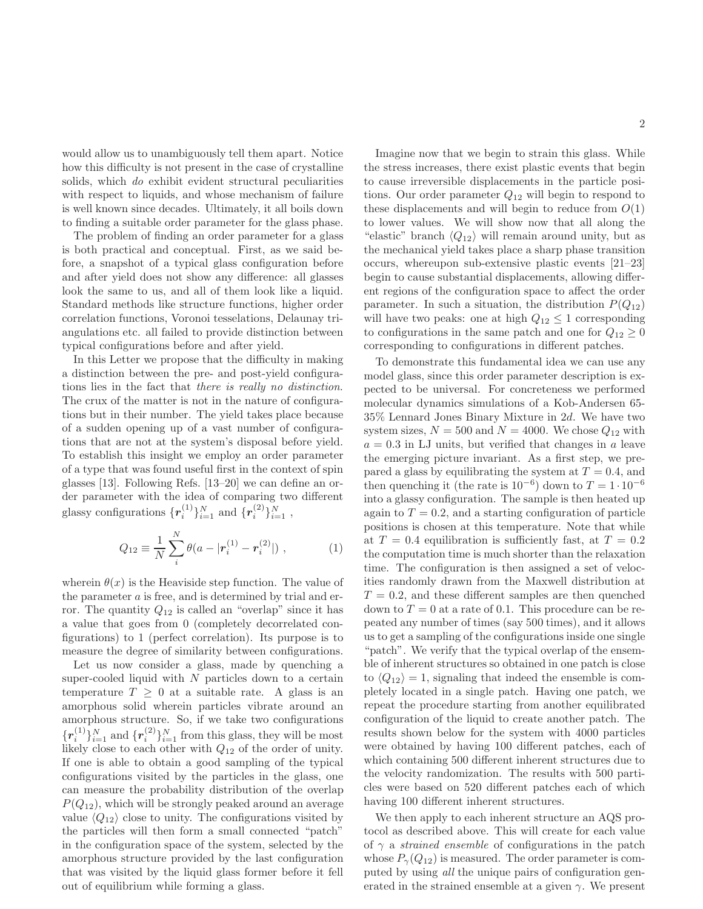would allow us to unambiguously tell them apart. Notice how this difficulty is not present in the case of crystalline solids, which do exhibit evident structural peculiarities with respect to liquids, and whose mechanism of failure is well known since decades. Ultimately, it all boils down to finding a suitable order parameter for the glass phase.

The problem of finding an order parameter for a glass is both practical and conceptual. First, as we said before, a snapshot of a typical glass configuration before and after yield does not show any difference: all glasses look the same to us, and all of them look like a liquid. Standard methods like structure functions, higher order correlation functions, Voronoi tesselations, Delaunay triangulations etc. all failed to provide distinction between typical configurations before and after yield.

In this Letter we propose that the difficulty in making a distinction between the pre- and post-yield configurations lies in the fact that there is really no distinction. The crux of the matter is not in the nature of configurations but in their number. The yield takes place because of a sudden opening up of a vast number of configurations that are not at the system's disposal before yield. To establish this insight we employ an order parameter of a type that was found useful first in the context of spin glasses [13]. Following Refs. [13–20] we can define an order parameter with the idea of comparing two different glassy configurations  $\{r_i^{(1)}\}_{i=1}^N$  and  $\{r_i^{(2)}\}_{i=1}^N$ ,

$$
Q_{12} \equiv \frac{1}{N} \sum_{i}^{N} \theta(a - |r_i^{(1)} - r_i^{(2)}|) , \qquad (1)
$$

wherein  $\theta(x)$  is the Heaviside step function. The value of the parameter a is free, and is determined by trial and error. The quantity  $Q_{12}$  is called an "overlap" since it has a value that goes from 0 (completely decorrelated configurations) to 1 (perfect correlation). Its purpose is to measure the degree of similarity between configurations.

Let us now consider a glass, made by quenching a super-cooled liquid with  $N$  particles down to a certain temperature  $T \geq 0$  at a suitable rate. A glass is an amorphous solid wherein particles vibrate around an amorphous structure. So, if we take two configurations  $\{\boldsymbol{r}^{(1)}_i$  $\{i^{(1)}\}_{i=1}^{N}$  and  $\{r_i^{(2)}\}$  $\{a_i^{(2)}\}_{i=1}^N$  from this glass, they will be most likely close to each other with  $Q_{12}$  of the order of unity. If one is able to obtain a good sampling of the typical configurations visited by the particles in the glass, one can measure the probability distribution of the overlap  $P(Q_{12})$ , which will be strongly peaked around an average value  $\langle Q_{12} \rangle$  close to unity. The configurations visited by the particles will then form a small connected "patch" in the configuration space of the system, selected by the amorphous structure provided by the last configuration that was visited by the liquid glass former before it fell out of equilibrium while forming a glass.

Imagine now that we begin to strain this glass. While the stress increases, there exist plastic events that begin to cause irreversible displacements in the particle positions. Our order parameter  $Q_{12}$  will begin to respond to these displacements and will begin to reduce from  $O(1)$ to lower values. We will show now that all along the "elastic" branch  $\langle Q_{12} \rangle$  will remain around unity, but as the mechanical yield takes place a sharp phase transition occurs, whereupon sub-extensive plastic events [21–23] begin to cause substantial displacements, allowing different regions of the configuration space to affect the order parameter. In such a situation, the distribution  $P(Q_{12})$ will have two peaks: one at high  $Q_{12} \leq 1$  corresponding to configurations in the same patch and one for  $Q_{12} \geq 0$ corresponding to configurations in different patches.

To demonstrate this fundamental idea we can use any model glass, since this order parameter description is expected to be universal. For concreteness we performed molecular dynamics simulations of a Kob-Andersen 65- 35% Lennard Jones Binary Mixture in 2d. We have two system sizes,  $N = 500$  and  $N = 4000$ . We chose  $Q_{12}$  with  $a = 0.3$  in LJ units, but verified that changes in a leave the emerging picture invariant. As a first step, we prepared a glass by equilibrating the system at  $T = 0.4$ , and then quenching it (the rate is  $10^{-6}$ ) down to  $T = 1 \cdot 10^{-6}$ into a glassy configuration. The sample is then heated up again to  $T = 0.2$ , and a starting configuration of particle positions is chosen at this temperature. Note that while at  $T = 0.4$  equilibration is sufficiently fast, at  $T = 0.2$ the computation time is much shorter than the relaxation time. The configuration is then assigned a set of velocities randomly drawn from the Maxwell distribution at  $T = 0.2$ , and these different samples are then quenched down to  $T = 0$  at a rate of 0.1. This procedure can be repeated any number of times (say 500 times), and it allows us to get a sampling of the configurations inside one single "patch". We verify that the typical overlap of the ensemble of inherent structures so obtained in one patch is close to  $\langle Q_{12} \rangle = 1$ , signaling that indeed the ensemble is completely located in a single patch. Having one patch, we repeat the procedure starting from another equilibrated configuration of the liquid to create another patch. The results shown below for the system with 4000 particles were obtained by having 100 different patches, each of which containing 500 different inherent structures due to the velocity randomization. The results with 500 particles were based on 520 different patches each of which having 100 different inherent structures.

We then apply to each inherent structure an AQS protocol as described above. This will create for each value of  $\gamma$  a *strained ensemble* of configurations in the patch whose  $P_{\gamma}(Q_{12})$  is measured. The order parameter is computed by using all the unique pairs of configuration generated in the strained ensemble at a given  $\gamma$ . We present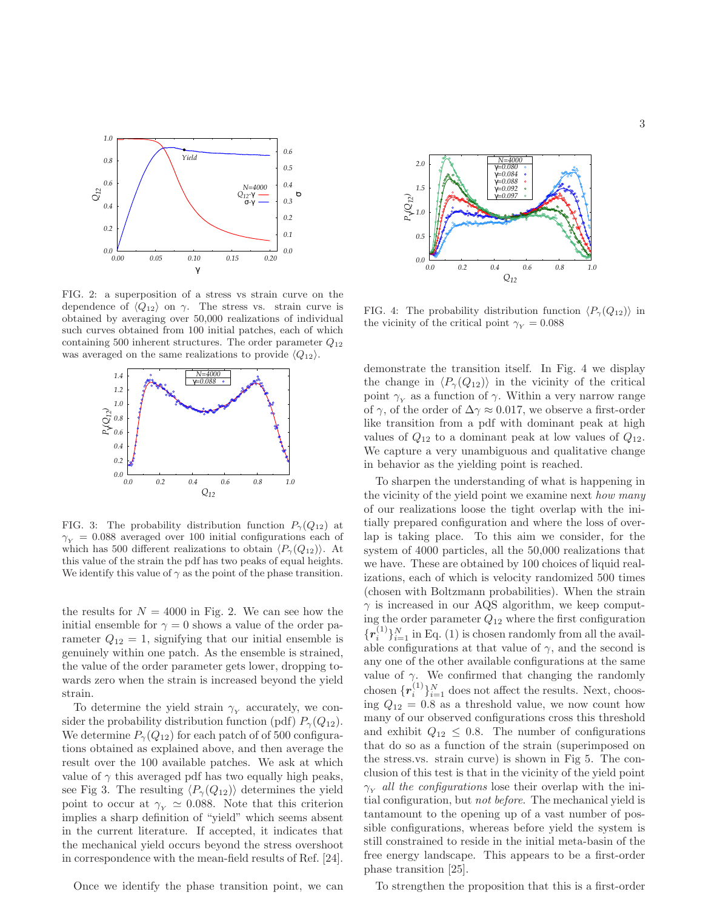

FIG. 2: a superposition of a stress vs strain curve on the dependence of  $\langle Q_{12} \rangle$  on  $\gamma$ . The stress vs. strain curve is obtained by averaging over 50,000 realizations of individual such curves obtained from 100 initial patches, each of which containing 500 inherent structures. The order parameter  $Q_{12}$ was averaged on the same realizations to provide  $\langle Q_{12} \rangle$ .



FIG. 3: The probability distribution function  $P_{\gamma}(Q_{12})$  at  $\gamma_Y = 0.088$  averaged over 100 initial configurations each of which has 500 different realizations to obtain  $\langle P_{\gamma}(Q_{12})\rangle$ . At this value of the strain the pdf has two peaks of equal heights. We identify this value of  $\gamma$  as the point of the phase transition.

the results for  $N = 4000$  in Fig. 2. We can see how the initial ensemble for  $\gamma = 0$  shows a value of the order parameter  $Q_{12} = 1$ , signifying that our initial ensemble is genuinely within one patch. As the ensemble is strained, the value of the order parameter gets lower, dropping towards zero when the strain is increased beyond the yield strain.

To determine the yield strain  $\gamma_Y$  accurately, we consider the probability distribution function (pdf)  $P_{\gamma}(Q_{12})$ . We determine  $P_{\gamma}(Q_{12})$  for each patch of 0.500 configurations obtained as explained above, and then average the result over the 100 available patches. We ask at which value of  $\gamma$  this averaged pdf has two equally high peaks, see Fig 3. The resulting  $\langle P_{\gamma}(Q_{12})\rangle$  determines the yield point to occur at  $\gamma_Y \simeq 0.088$ . Note that this criterion implies a sharp definition of "yield" which seems absent in the current literature. If accepted, it indicates that the mechanical yield occurs beyond the stress overshoot in correspondence with the mean-field results of Ref. [24].

Once we identify the phase transition point, we can



FIG. 4: The probability distribution function  $\langle P_{\gamma}(Q_{12}) \rangle$  in the vicinity of the critical point  $\gamma_{\rm v} = 0.088$ 

demonstrate the transition itself. In Fig. 4 we display the change in  $\langle P_{\gamma}(Q_{12})\rangle$  in the vicinity of the critical point  $\gamma_Y$  as a function of  $\gamma$ . Within a very narrow range of  $\gamma$ , of the order of  $\Delta \gamma \approx 0.017$ , we observe a first-order like transition from a pdf with dominant peak at high values of  $Q_{12}$  to a dominant peak at low values of  $Q_{12}$ . We capture a very unambiguous and qualitative change in behavior as the yielding point is reached.

To sharpen the understanding of what is happening in the vicinity of the yield point we examine next *how many* of our realizations loose the tight overlap with the initially prepared configuration and where the loss of overlap is taking place. To this aim we consider, for the system of 4000 particles, all the 50,000 realizations that we have. These are obtained by 100 choices of liquid realizations, each of which is velocity randomized 500 times (chosen with Boltzmann probabilities). When the strain  $\gamma$  is increased in our AQS algorithm, we keep computing the order parameter  $Q_{12}$  where the first configuration  ${r_i^{(1)}}_{i=1}^N$  in Eq. (1) is chosen randomly from all the available configurations at that value of  $\gamma$ , and the second is any one of the other available configurations at the same value of  $\gamma$ . We confirmed that changing the randomly chosen  $\{r_i^{(1)}\}_{i=1}^N$  does not affect the results. Next, choosing  $Q_{12} = 0.8$  as a threshold value, we now count how many of our observed configurations cross this threshold and exhibit  $Q_{12} \leq 0.8$ . The number of configurations that do so as a function of the strain (superimposed on the stress.vs. strain curve) is shown in Fig 5. The conclusion of this test is that in the vicinity of the yield point  $\gamma_{\rm v}$  all the configurations lose their overlap with the initial configuration, but not before. The mechanical yield is tantamount to the opening up of a vast number of possible configurations, whereas before yield the system is still constrained to reside in the initial meta-basin of the free energy landscape. This appears to be a first-order phase transition [25].

To strengthen the proposition that this is a first-order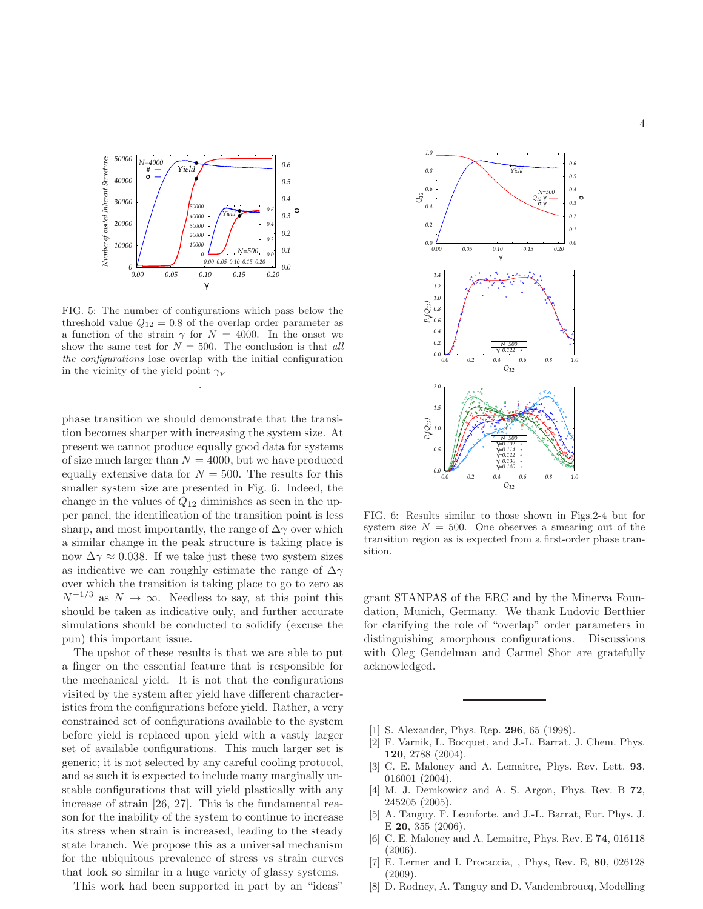

FIG. 5: The number of configurations which pass below the threshold value  $Q_{12} = 0.8$  of the overlap order parameter as a function of the strain  $\gamma$  for  $N = 4000$ . In the onset we show the same test for  $N = 500$ . The conclusion is that all the configurations lose overlap with the initial configuration in the vicinity of the yield point  $\gamma_Y$ 

.

phase transition we should demonstrate that the transition becomes sharper with increasing the system size. At present we cannot produce equally good data for systems of size much larger than  $N = 4000$ , but we have produced equally extensive data for  $N = 500$ . The results for this smaller system size are presented in Fig. 6. Indeed, the change in the values of  $Q_{12}$  diminishes as seen in the upper panel, the identification of the transition point is less sharp, and most importantly, the range of  $\Delta\gamma$  over which a similar change in the peak structure is taking place is now  $\Delta\gamma \approx 0.038$ . If we take just these two system sizes as indicative we can roughly estimate the range of  $\Delta\gamma$ over which the transition is taking place to go to zero as  $N^{-1/3}$  as  $N \to \infty$ . Needless to say, at this point this should be taken as indicative only, and further accurate simulations should be conducted to solidify (excuse the pun) this important issue.

The upshot of these results is that we are able to put a finger on the essential feature that is responsible for the mechanical yield. It is not that the configurations visited by the system after yield have different characteristics from the configurations before yield. Rather, a very constrained set of configurations available to the system before yield is replaced upon yield with a vastly larger set of available configurations. This much larger set is generic; it is not selected by any careful cooling protocol, and as such it is expected to include many marginally unstable configurations that will yield plastically with any increase of strain [26, 27]. This is the fundamental reason for the inability of the system to continue to increase its stress when strain is increased, leading to the steady state branch. We propose this as a universal mechanism for the ubiquitous prevalence of stress vs strain curves that look so similar in a huge variety of glassy systems.

This work had been supported in part by an "ideas"



FIG. 6: Results similar to those shown in Figs.2-4 but for system size  $N = 500$ . One observes a smearing out of the transition region as is expected from a first-order phase transition.

grant STANPAS of the ERC and by the Minerva Foundation, Munich, Germany. We thank Ludovic Berthier for clarifying the role of "overlap" order parameters in distinguishing amorphous configurations. Discussions with Oleg Gendelman and Carmel Shor are gratefully acknowledged.

- [1] S. Alexander, Phys. Rep. **296**, 65 (1998).
- [2] F. Varnik, L. Bocquet, and J.-L. Barrat, J. Chem. Phys. 120, 2788 (2004).
- [3] C. E. Maloney and A. Lemaitre, Phys. Rev. Lett. 93, 016001 (2004).
- [4] M. J. Demkowicz and A. S. Argon, Phys. Rev. B 72, 245205 (2005).
- [5] A. Tanguy, F. Leonforte, and J.-L. Barrat, Eur. Phys. J. E 20, 355 (2006).
- [6] C. E. Maloney and A. Lemaitre, Phys. Rev. E 74, 016118 (2006).
- [7] E. Lerner and I. Procaccia, , Phys, Rev. E, 80, 026128 (2009).
- [8] D. Rodney, A. Tanguy and D. Vandembroucq, Modelling